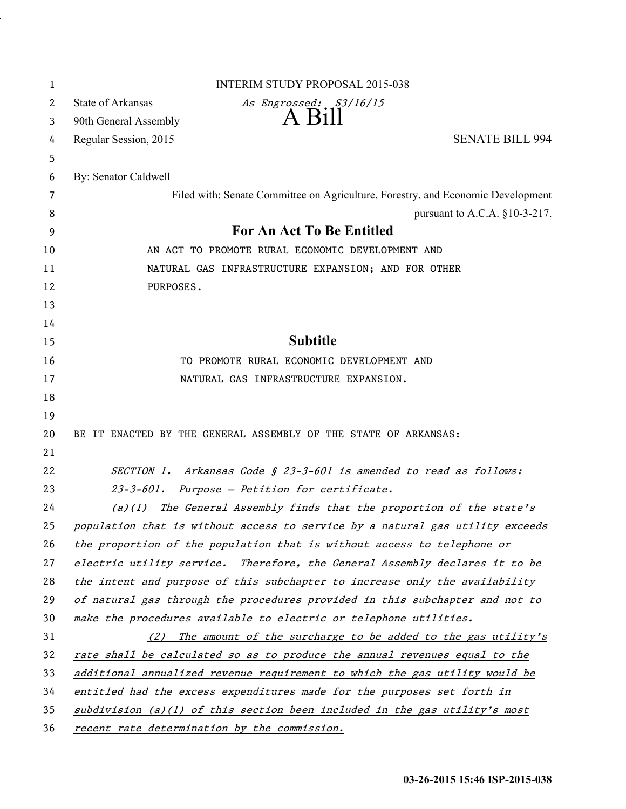| 1  | <b>INTERIM STUDY PROPOSAL 2015-038</b>                                          |
|----|---------------------------------------------------------------------------------|
| 2  | <b>State of Arkansas</b><br>As Engrossed: S3/16/15                              |
| 3  | A B111<br>90th General Assembly                                                 |
| 4  | <b>SENATE BILL 994</b><br>Regular Session, 2015                                 |
| 5  |                                                                                 |
| 6  | By: Senator Caldwell                                                            |
| 7  | Filed with: Senate Committee on Agriculture, Forestry, and Economic Development |
| 8  | pursuant to A.C.A. $§10-3-217$ .                                                |
| 9  | <b>For An Act To Be Entitled</b>                                                |
| 10 | AN ACT TO PROMOTE RURAL ECONOMIC DEVELOPMENT AND                                |
| 11 | NATURAL GAS INFRASTRUCTURE EXPANSION; AND FOR OTHER                             |
| 12 | PURPOSES.                                                                       |
| 13 |                                                                                 |
| 14 |                                                                                 |
| 15 | <b>Subtitle</b>                                                                 |
| 16 | TO PROMOTE RURAL ECONOMIC DEVELOPMENT AND                                       |
| 17 | NATURAL GAS INFRASTRUCTURE EXPANSION.                                           |
| 18 |                                                                                 |
| 19 |                                                                                 |
| 20 | BE IT ENACTED BY THE GENERAL ASSEMBLY OF THE STATE OF ARKANSAS:                 |
| 21 |                                                                                 |
| 22 | SECTION 1. Arkansas Code § 23-3-601 is amended to read as follows:              |
| 23 | 23-3-601. Purpose - Petition for certificate.                                   |
| 24 | (a) $(1)$ The General Assembly finds that the proportion of the state's         |
| 25 | population that is without access to service by a natural gas utility exceeds   |
| 26 | the proportion of the population that is without access to telephone or         |
| 27 | electric utility service. Therefore, the General Assembly declares it to be     |
| 28 | the intent and purpose of this subchapter to increase only the availability     |
| 29 | of natural gas through the procedures provided in this subchapter and not to    |
| 30 | make the procedures available to electric or telephone utilities.               |
| 31 | The amount of the surcharge to be added to the gas utility's<br>(2)             |
| 32 | rate shall be calculated so as to produce the annual revenues equal to the      |
| 33 | additional annualized revenue requirement to which the gas utility would be     |
| 34 | entitled had the excess expenditures made for the purposes set forth in         |
| 35 | $subdivision$ (a)(1) of this section been included in the gas utility's most    |
| 36 | recent rate determination by the commission.                                    |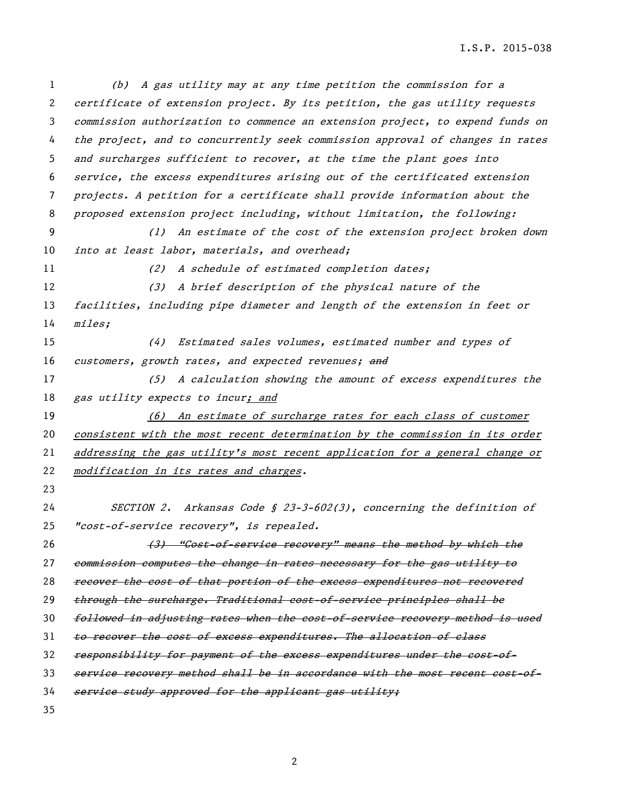(b) A gas utility may at any time petition the commission for a certificate of extension project. By its petition, the gas utility requests commission authorization to commence an extension project, to expend funds on the project, and to concurrently seek commission approval of changes in rates and surcharges sufficient to recover, at the time the plant goes into service, the excess expenditures arising out of the certificated extension projects. A petition for a certificate shall provide information about the proposed extension project including, without limitation, the following: (1) An estimate of the cost of the extension project broken down 10 into at least labor, materials, and overhead; 11 (2) A schedule of estimated completion dates; (3) A brief description of the physical nature of the facilities, including pipe diameter and length of the extension in feet or miles; (4) Estimated sales volumes, estimated number and types of 16 customers, growth rates, and expected revenues; and 17 (5) A calculation showing the amount of excess expenditures the 18 gas utility expects to incur; and (6) An estimate of surcharge rates for each class of customer consistent with the most recent determination by the commission in its order addressing the gas utility's most recent application for a general change or modification in its rates and charges. SECTION 2. Arkansas Code § 23-3-602(3), concerning the definition of "cost-of-service recovery", is repealed. 26 (3) "Cost-of-service recovery" means the method by which the 27 commission computes the change in rates necessary for the gas utility to 28 recover the cost of that portion of the excess expenditures not recovered 29 through the surcharge. Traditional cost-of-service principles shall be followed in adjusting rates when the cost-of-service recovery method is used to recover the cost of excess expenditures. The allocation of class 32 responsibility for payment of the excess expenditures under the cost-of-33 service recovery method shall be in accordance with the most recent cost-of-34 service study approved for the applicant gas utility;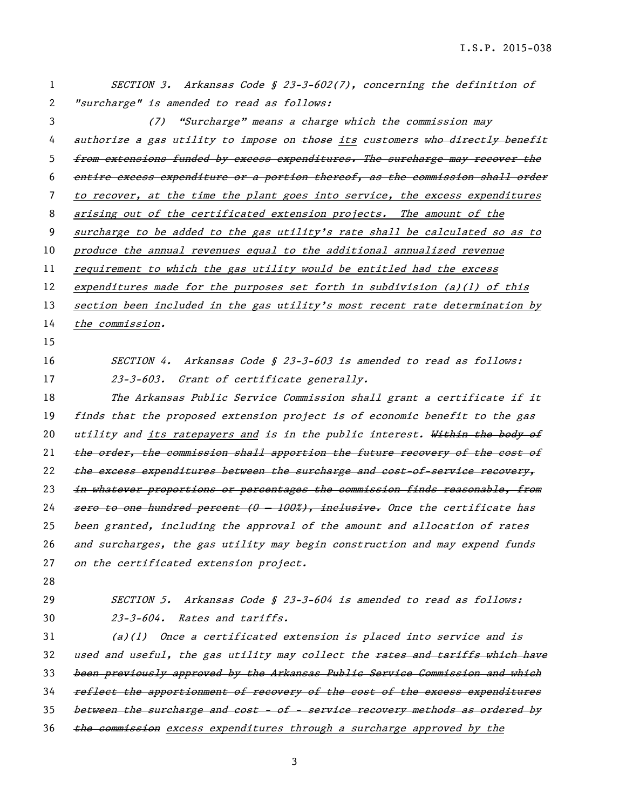I.S.P. 2015-038

| $\mathbf{1}$   | SECTION 3. Arkansas Code § 23-3-602(7), concerning the definition of           |
|----------------|--------------------------------------------------------------------------------|
| $\mathbf{2}$   | "surcharge" is amended to read as follows:                                     |
| 3              | (7) "Surcharge" means a charge which the commission may                        |
| 4              | authorize a gas utility to impose on those its customers who directly benefit  |
| 5              | from extensions funded by excess expenditures. The surcharge may recover the   |
| 6              | entire excess expenditure or a portion thereof, as the commission shall order  |
| $\overline{7}$ | to recover, at the time the plant goes into service, the excess expenditures   |
| 8              | arising out of the certificated extension projects. The amount of the          |
| 9              | surcharge to be added to the gas utility's rate shall be calculated so as to   |
| 10             | produce the annual revenues equal to the additional annualized revenue         |
| 11             | requirement to which the gas utility would be entitled had the excess          |
| 12             | expenditures made for the purposes set forth in subdivision (a)(1) of this     |
| 13             | section been included in the gas utility's most recent rate determination by   |
| 14             | the commission.                                                                |
| 15             |                                                                                |
| 16             | SECTION 4. Arkansas Code § 23-3-603 is amended to read as follows:             |
| 17             | 23-3-603. Grant of certificate generally.                                      |
| 18             | The Arkansas Public Service Commission shall grant a certificate if it         |
| 19             | finds that the proposed extension project is of economic benefit to the gas    |
| 20             | utility and its ratepayers and is in the public interest. Within the body of   |
| 21             | the order, the commission shall apportion the future recovery of the cost of   |
| 22             | the excess expenditures between the surcharge and cost-of-service recovery,    |
| 23             | in whatever proportions or percentages the commission finds reasonable, from   |
| 24             | $zero to one hundred percent (0 - 100\%), inclusive, Once the certificate has$ |
| 25             | been granted, including the approval of the amount and allocation of rates     |
| 26             | and surcharges, the gas utility may begin construction and may expend funds    |
| 27             | on the certificated extension project.                                         |
| 28             |                                                                                |
| 29             | SECTION 5. Arkansas Code § 23-3-604 is amended to read as follows:             |
| 30             | 23-3-604. Rates and tariffs.                                                   |
| 31             | $(a)(1)$ Once a certificated extension is placed into service and is           |
| 32             | used and useful, the gas utility may collect the rates and tariffs which have  |
| 33             | been previously approved by the Arkansas Publie Service Commission and which   |
| 34             | reflect the apportionment of recovery of the cost of the excess expenditures   |
| 35             | between the surcharge and cost – of – service recovery methods as ordered by   |
| 36             | the commission excess expenditures through a surcharge approved by the         |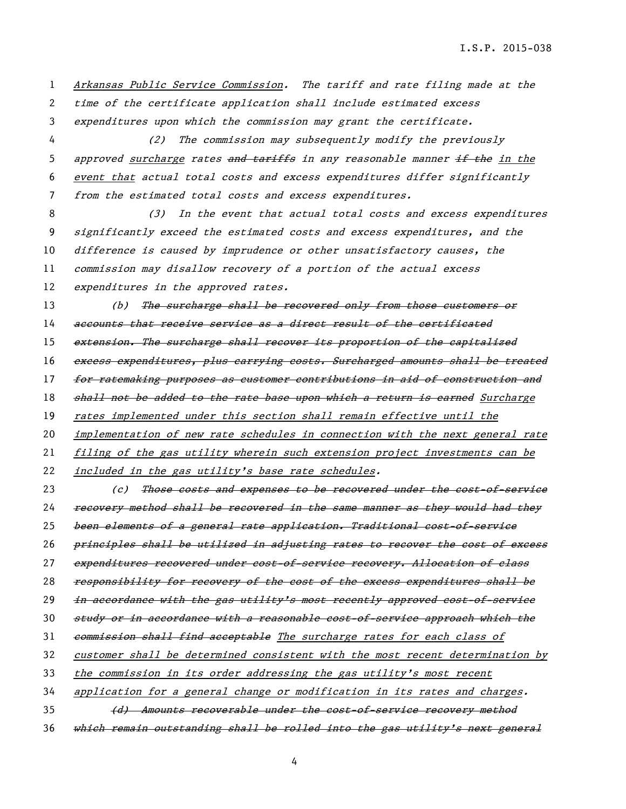1 Arkansas Public Service Commission. The tariff and rate filing made at the 2 time of the certificate application shall include estimated excess 3 expenditures upon which the commission may grant the certificate. 4 (2) The commission may subsequently modify the previously 5 approved surcharge rates and tariffs in any reasonable manner  $\pm$  the in the 6 event that actual total costs and excess expenditures differ significantly 7 from the estimated total costs and excess expenditures. 8 (3) In the event that actual total costs and excess expenditures 9 significantly exceed the estimated costs and excess expenditures, and the 10 difference is caused by imprudence or other unsatisfactory causes, the 11 commission may disallow recovery of a portion of the actual excess 12 expenditures in the approved rates. 13 (b) The surcharge shall be recovered only from those customers or 14 accounts that receive service as a direct result of the certificated 15 extension. The surcharge shall recover its proportion of the capitalized 16 excess expenditures, plus carrying costs. Surcharged amounts shall be treated 17 for ratemaking purposes as customer contributions in aid of construction and 18 shall not be added to the rate base upon which a return is earned Surcharge 19 rates implemented under this section shall remain effective until the 20 implementation of new rate schedules in connection with the next general rate 21 filing of the gas utility wherein such extension project investments can be 22 included in the gas utility's base rate schedules. 23 (c) Those costs and expenses to be recovered under the cost-of-service 24 recovery method shall be recovered in the same manner as they would had they 25 been elements of a general rate application. Traditional cost-of-service 26 principles shall be utilized in adjusting rates to recover the cost of excess 27 expenditures recovered under cost-of-service recovery. Allocation of class 28 responsibility for recovery of the cost of the excess expenditures shall be 29 in accordance with the gas utility's most recently approved cost-of-service 30 study or in accordance with a reasonable cost-of-service approach which the 31 commission shall find acceptable The surcharge rates for each class of 32 customer shall be determined consistent with the most recent determination by 33 the commission in its order addressing the gas utility's most recent 34 application for a general change or modification in its rates and charges. 35 (d) Amounts recoverable under the cost-of-service recovery method

36 which remain outstanding shall be rolled into the gas utility's next general

4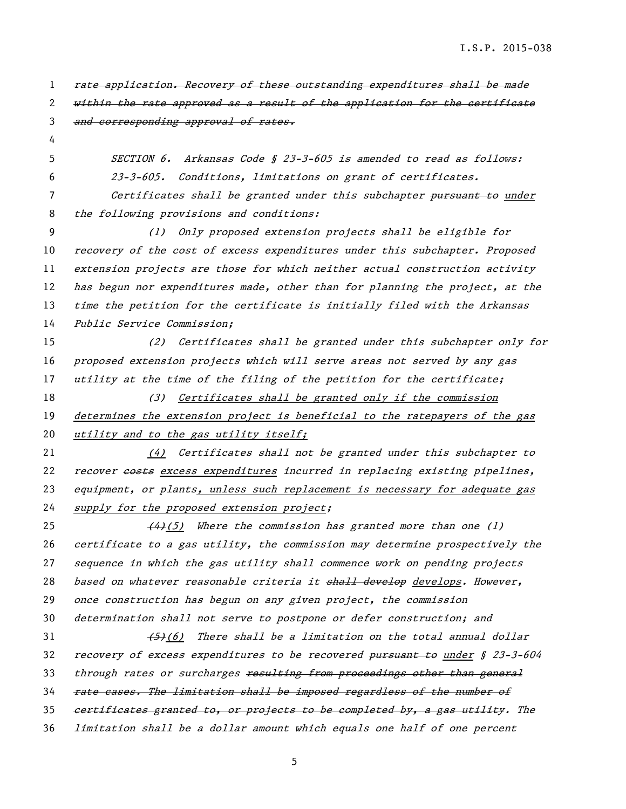1 rate application. Recovery of these outstanding expenditures shall be made within the rate approved as a result of the application for the certificate 3 and corresponding approval of rates. SECTION 6. Arkansas Code § 23-3-605 is amended to read as follows: 23-3-605. Conditions, limitations on grant of certificates. **Certificates shall be granted under this subchapter <del>pursuant to</del> under** 8 the following provisions and conditions: (1) Only proposed extension projects shall be eligible for 10 recovery of the cost of excess expenditures under this subchapter. Proposed extension projects are those for which neither actual construction activity has begun nor expenditures made, other than for planning the project, at the 13 time the petition for the certificate is initially filed with the Arkansas Public Service Commission; (2) Certificates shall be granted under this subchapter only for proposed extension projects which will serve areas not served by any gas utility at the time of the filing of the petition for the certificate; 18 (3) Certificates shall be granted only if the commission determines the extension project is beneficial to the ratepayers of the gas 20 utility and to the gas utility itself; (4) Certificates shall not be granted under this subchapter to 22 recover costs excess expenditures incurred in replacing existing pipelines, equipment, or plants, unless such replacement is necessary for adequate gas supply for the proposed extension project;  $(4)(5)$  Where the commission has granted more than one (1) certificate to a gas utility, the commission may determine prospectively the sequence in which the gas utility shall commence work on pending projects 28 based on whatever reasonable criteria it shall develop develops. However, once construction has begun on any given project, the commission determination shall not serve to postpone or defer construction; and  $(5)(6)$  There shall be a limitation on the total annual dollar 32 recovery of excess expenditures to be recovered pursuant to under § 23-3-604 33 through rates or surcharges resulting from proceedings other than general 34 rate cases. The limitation shall be imposed regardless of the number of 35 certificates granted to, or projects to be completed by, a gas utility. The limitation shall be a dollar amount which equals one half of one percent